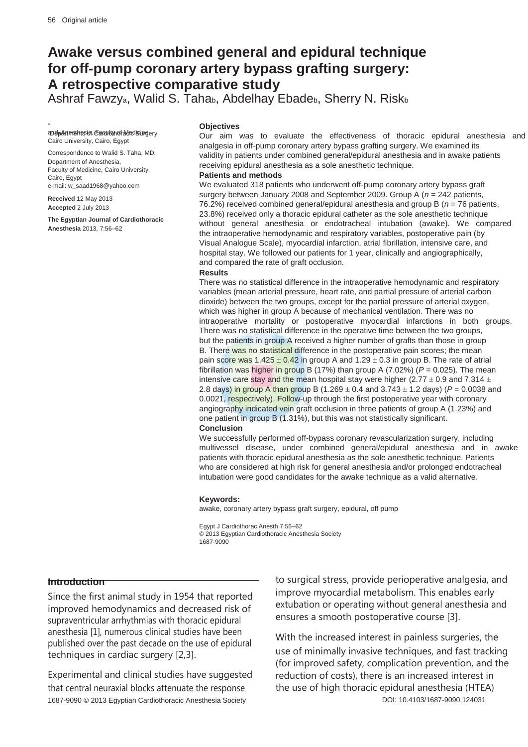a

# **Awake versus combined general and epidural technique for off-pump coronary artery bypass grafting surgery: A retrospective comparative study**

Ashraf Fawzy<sub>a</sub>, Walid S. Tahab, Abdelhay Ebadeb, Sherry N. Riskb

and permanent and Surgery Cairo University, Cairo, Egypt

Correspondence to Walid S. Taha, MD, Department of Anesthesia, Faculty of Medicine, Cairo University, Cairo, Egypt e-mail: w\_saad1968@yahoo.com

**Received** 12 May 2013 **Accepted** 2 July 2013

**The Egyptian Journal of Cardiothoracic Anesthesia** 2013, 7:56–62

#### **Objectives**

Our aim was to evaluate the effectiveness of thoracic epidural anesthesia and analgesia in off-pump coronary artery bypass grafting surgery. We examined its validity in patients under combined general/epidural anesthesia and in awake patients receiving epidural anesthesia as a sole anesthetic technique.

**Patients and methods**

We evaluated 318 patients who underwent off-pump coronary artery bypass graft surgery between January 2008 and September 2009. Group A (*n* = 242 patients, 76.2%) received combined general/epidural anesthesia and group B (*n* = 76 patients, 23.8%) received only a thoracic epidural catheter as the sole anesthetic technique without general anesthesia or endotracheal intubation (awake). We compared the intraoperative hemodynamic and respiratory variables, postoperative pain (by Visual Analogue Scale), myocardial infarction, atrial fibrillation, intensive care, and hospital stay. We followed our patients for 1 year, clinically and angiographically, and compared the rate of graft occlusion.

#### **Results**

There was no statistical difference in the intraoperative hemodynamic and respiratory variables (mean arterial pressure, heart rate, and partial pressure of arterial carbon dioxide) between the two groups, except for the partial pressure of arterial oxygen, which was higher in group A because of mechanical ventilation. There was no intraoperative mortality or postoperative myocardial infarctions in both groups. There was no statistical difference in the operative time between the two groups, but the patients in group A received a higher number of grafts than those in group B. There was no statistical difference in the postoperative pain scores; the mean pain score was  $1.425 \pm 0.42$  in group A and  $1.29 \pm 0.3$  in group B. The rate of atrial fibrillation was higher in group B (17%) than group A (7.02%) ( $P = 0.025$ ). The mean intensive care stay and the mean hospital stay were higher (2.77  $\pm$  0.9 and 7.314  $\pm$ 2.8 days) in group A than group B (1.269  $\pm$  0.4 and 3.743  $\pm$  1.2 days) ( $P = 0.0038$  and 0.0021, respectively). Follow-up through the first postoperative year with coronary angiography indicated vein graft occlusion in three patients of group A (1.23%) and one patient in group B (1.31%), but this was not statistically significant. **Conclusion**

We successfully performed off-bypass coronary revascularization surgery, including multivessel disease, under combined general/epidural anesthesia and in awake patients with thoracic epidural anesthesia as the sole anesthetic technique. Patients who are considered at high risk for general anesthesia and/or prolonged endotracheal intubation were good candidates for the awake technique as a valid alternative.

#### **Keywords:**

awake, coronary artery bypass graft surgery, epidural, off pump

Egypt J Cardiothorac Anesth 7:56–62 © 2013 Egyptian Cardiothoracic Anesthesia Society 1687-9090

#### **Introduction**

Since the first animal study in 1954 that reported improved hemodynamics and decreased risk of supraventricular arrhythmias with thoracic epidural anesthesia [1], numerous clinical studies have been published over the past decade on the use of epidural techniques in cardiac surgery [2,3].

Experimental and clinical studies have suggested that central neuraxial blocks attenuate the response 1687-9090 © 2013 Egyptian Cardiothoracic Anesthesia Society

to surgical stress, provide perioperative analgesia, and improve myocardial metabolism. This enables early extubation or operating without general anesthesia and ensures a smooth postoperative course [3].

With the increased interest in painless surgeries, the use of minimally invasive techniques, and fast tracking (for improved safety, complication prevention, and the reduction of costs), there is an increased interest in the use of high thoracic epidural anesthesia (HTEA) DOI: 10.4103/1687-9090.124031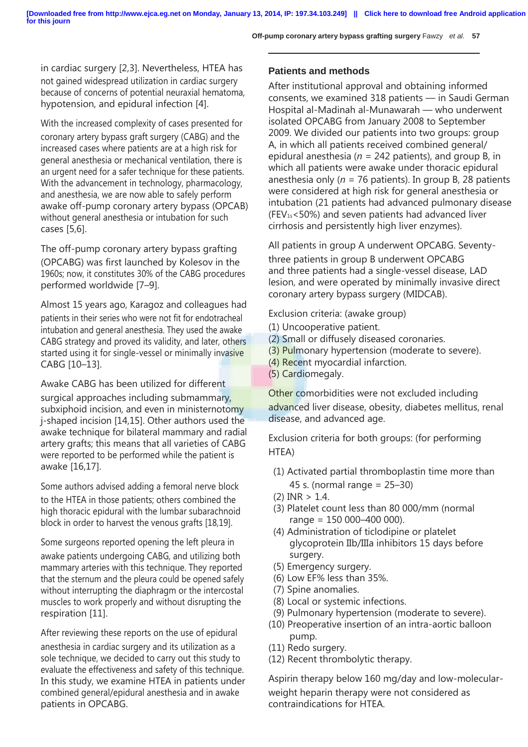in cardiac surgery [2,3]. Nevertheless, HTEA has not gained widespread utilization in cardiac surgery because of concerns of potential neuraxial hematoma, hypotension, and epidural infection [4].

With the increased complexity of cases presented for coronary artery bypass graft surgery (CABG) and the increased cases where patients are at a high risk for general anesthesia or mechanical ventilation, there is an urgent need for a safer technique for these patients. With the advancement in technology, pharmacology, and anesthesia, we are now able to safely perform awake off-pump coronary artery bypass (OPCAB) without general anesthesia or intubation for such cases [5,6].

The off-pump coronary artery bypass grafting (OPCABG) was first launched by Kolesov in the 1960s; now, it constitutes 30% of the CABG procedures performed worldwide [7–9].

Almost 15 years ago, Karagoz and colleagues had patients in their series who were not fit for endotracheal intubation and general anesthesia. They used the awake CABG strategy and proved its validity, and later, others started using it for single-vessel or minimally invasive CABG [10–13].

Awake CABG has been utilized for different surgical approaches including submammary, subxiphoid incision, and even in ministernotomy j-shaped incision [14,15]. Other authors used the awake technique for bilateral mammary and radial artery grafts; this means that all varieties of CABG were reported to be performed while the patient is awake [16,17].

Some authors advised adding a femoral nerve block to the HTEA in those patients; others combined the high thoracic epidural with the lumbar subarachnoid block in order to harvest the venous grafts [18,19].

Some surgeons reported opening the left pleura in awake patients undergoing CABG, and utilizing both mammary arteries with this technique. They reported that the sternum and the pleura could be opened safely without interrupting the diaphragm or the intercostal muscles to work properly and without disrupting the respiration [11].

After reviewing these reports on the use of epidural anesthesia in cardiac surgery and its utilization as a sole technique, we decided to carry out this study to evaluate the effectiveness and safety of this technique. In this study, we examine HTEA in patients under combined general/epidural anesthesia and in awake patients in OPCABG.

# **Patients and methods**

After institutional approval and obtaining informed consents, we examined 318 patients — in Saudi German Hospital al-Madinah al-Munawarah — who underwent isolated OPCABG from January 2008 to September 2009. We divided our patients into two groups: group A, in which all patients received combined general/ epidural anesthesia (*n* = 242 patients), and group B, in which all patients were awake under thoracic epidural anesthesia only (*n* = 76 patients). In group B, 28 patients were considered at high risk for general anesthesia or intubation (21 patients had advanced pulmonary disease (FEV1s<50%) and seven patients had advanced liver cirrhosis and persistently high liver enzymes).

All patients in group A underwent OPCABG. Seventy-

three patients in group B underwent OPCABG and three patients had a single-vessel disease, LAD lesion, and were operated by minimally invasive direct coronary artery bypass surgery (MIDCAB).

Exclusion criteria: (awake group)

- (1) Uncooperative patient.
- (2) Small or diffusely diseased coronaries.
- (3) Pulmonary hypertension (moderate to severe).
- (4) Recent myocardial infarction.
- (5) Cardiomegaly.

Other comorbidities were not excluded including advanced liver disease, obesity, diabetes mellitus, renal disease, and advanced age.

Exclusion criteria for both groups: (for performing HTEA)

- (1) Activated partial thromboplastin time more than 45 s. (normal range = 25–30)
- $(2)$  INR  $> 1.4$ .
- (3) Platelet count less than 80 000/mm (normal range = 150 000–400 000).
- (4) Administration of ticlodipine or platelet glycoprotein IIb/IIIa inhibitors 15 days before surgery.
- (5) Emergency surgery.
- (6) Low EF% less than 35%.
- (7) Spine anomalies.
- (8) Local or systemic infections.
- (9) Pulmonary hypertension (moderate to severe).
- (10) Preoperative insertion of an intra-aortic balloon pump.
- (11) Redo surgery.
- (12) Recent thrombolytic therapy.

Aspirin therapy below 160 mg/day and low-molecularweight heparin therapy were not considered as contraindications for HTEA.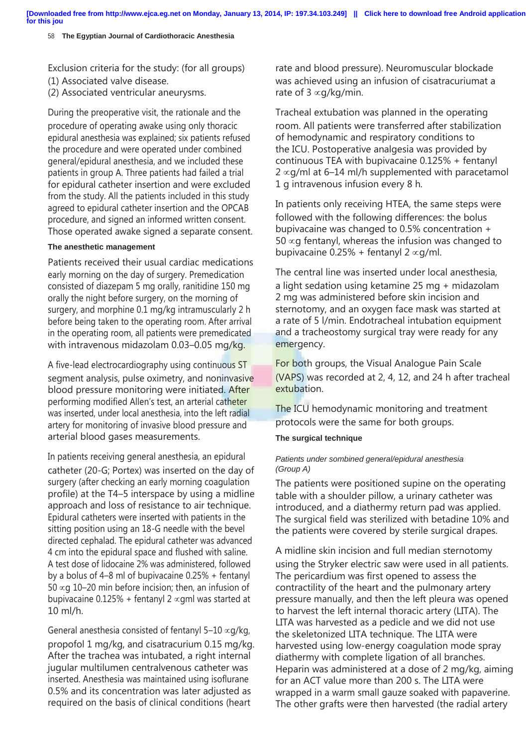58 **The Egyptian Journal of Cardiothoracic Anesthesia**

Exclusion criteria for the study: (for all groups)

- (1) Associated valve disease.
- (2) Associated ventricular aneurysms.

During the preoperative visit, the rationale and the procedure of operating awake using only thoracic epidural anesthesia was explained; six patients refused the procedure and were operated under combined general/epidural anesthesia, and we included these patients in group A. Three patients had failed a trial for epidural catheter insertion and were excluded from the study. All the patients included in this study agreed to epidural catheter insertion and the OPCAB procedure, and signed an informed written consent. Those operated awake signed a separate consent.

# **The anesthetic management**

Patients received their usual cardiac medications early morning on the day of surgery. Premedication consisted of diazepam 5 mg orally, ranitidine 150 mg orally the night before surgery, on the morning of surgery, and morphine 0.1 mg/kg intramuscularly 2 h before being taken to the operating room. After arrival in the operating room, all patients were premedicated with intravenous midazolam 0.03-0.05 mg/kg.

A five-lead electrocardiography using continuous ST segment analysis, pulse oximetry, and noninvasive blood pressure monitoring were initiated. After performing modified Allen's test, an arterial catheter was inserted, under local anesthesia, into the left radial artery for monitoring of invasive blood pressure and arterial blood gases measurements.

In patients receiving general anesthesia, an epidural catheter (20-G; Portex) was inserted on the day of surgery (after checking an early morning coagulation profile) at the T4–5 interspace by using a midline approach and loss of resistance to air technique. Epidural catheters were inserted with patients in the sitting position using an 18-G needle with the bevel directed cephalad. The epidural catheter was advanced 4 cm into the epidural space and flushed with saline. A test dose of lidocaine 2% was administered, followed by a bolus of 4–8 ml of bupivacaine 0.25% + fentanyl 50  $\propto$ q 10–20 min before incision; then, an infusion of bupivacaine 0.125% + fentanyl 2  $\propto$ qml was started at 10 ml/h.

General anesthesia consisted of fentanyl 5–10  $\alpha$ g/kg, propofol 1 mg/kg, and cisatracurium 0.15 mg/kg. After the trachea was intubated, a right internal jugular multilumen centralvenous catheter was inserted. Anesthesia was maintained using isoflurane 0.5% and its concentration was later adjusted as required on the basis of clinical conditions (heart

rate and blood pressure). Neuromuscular blockade was achieved using an infusion of cisatracuriumat a rate of  $3 \propto g/kg/min$ .

Tracheal extubation was planned in the operating room. All patients were transferred after stabilization of hemodynamic and respiratory conditions to the ICU. Postoperative analgesia was provided by continuous TEA with bupivacaine 0.125% + fentanyl  $2 \propto q$ /ml at 6–14 ml/h supplemented with paracetamol 1 g intravenous infusion every 8 h.

In patients only receiving HTEA, the same steps were followed with the following differences: the bolus bupivacaine was changed to 0.5% concentration +  $50 \times g$  fentanyl, whereas the infusion was changed to bupivacaine  $0.25%$  + fentanyl 2  $\propto$ g/ml.

The central line was inserted under local anesthesia, a light sedation using ketamine 25 mg + midazolam 2 mg was administered before skin incision and sternotomy, and an oxygen face mask was started at a rate of 5 l/min. Endotracheal intubation equipment and a tracheostomy surgical tray were ready for any emergency.

For both groups, the Visual Analogue Pain Scale (VAPS) was recorded at 2, 4, 12, and 24 h after tracheal extubation.

The ICU hemodynamic monitoring and treatment protocols were the same for both groups.

# **The surgical technique**

# *Patients under sombined general/epidural anesthesia (Group A)*

The patients were positioned supine on the operating table with a shoulder pillow, a urinary catheter was introduced, and a diathermy return pad was applied. The surgical field was sterilized with betadine 10% and the patients were covered by sterile surgical drapes.

A midline skin incision and full median sternotomy using the Stryker electric saw were used in all patients. The pericardium was first opened to assess the contractility of the heart and the pulmonary artery pressure manually, and then the left pleura was opened to harvest the left internal thoracic artery (LITA). The LITA was harvested as a pedicle and we did not use the skeletonized LITA technique. The LITA were harvested using low-energy coagulation mode spray diathermy with complete ligation of all branches. Heparin was administered at a dose of 2 mg/kg, aiming for an ACT value more than 200 s. The LITA were wrapped in a warm small gauze soaked with papaverine. The other grafts were then harvested (the radial artery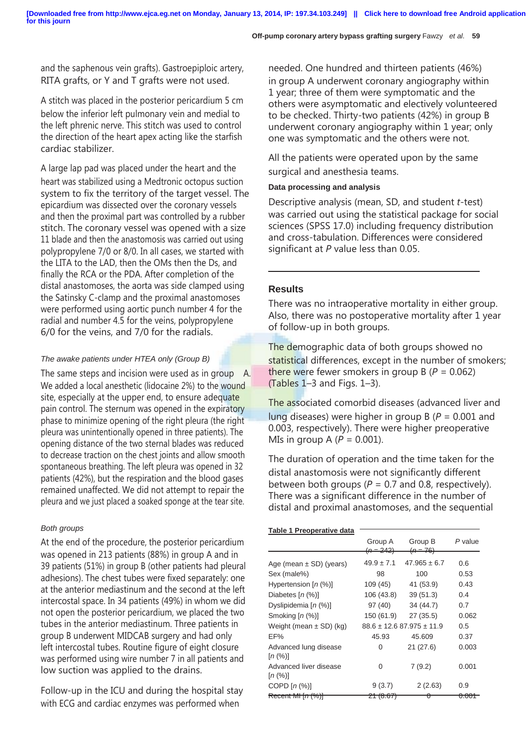and the saphenous vein grafts). Gastroepiploic artery, RITA grafts, or Y and T grafts were not used.

A stitch was placed in the posterior pericardium 5 cm below the inferior left pulmonary vein and medial to the left phrenic nerve. This stitch was used to control the direction of the heart apex acting like the starfish cardiac stabilizer.

A large lap pad was placed under the heart and the heart was stabilized using a Medtronic octopus suction system to fix the territory of the target vessel. The epicardium was dissected over the coronary vessels and then the proximal part was controlled by a rubber stitch. The coronary vessel was opened with a size 11 blade and then the anastomosis was carried out using polypropylene 7/0 or 8/0. In all cases, we started with the LITA to the LAD, then the OMs then the Ds, and finally the RCA or the PDA. After completion of the distal anastomoses, the aorta was side clamped using the Satinsky C-clamp and the proximal anastomoses were performed using aortic punch number 4 for the radial and number 4.5 for the veins, polypropylene 6/0 for the veins, and 7/0 for the radials.

### *The awake patients under HTEA only (Group B)*

The same steps and incision were used as in group A. We added a local anesthetic (lidocaine 2%) to the wound site, especially at the upper end, to ensure adequate pain control. The sternum was opened in the expiratory phase to minimize opening of the right pleura (the right pleura was unintentionally opened in three patients). The opening distance of the two sternal blades was reduced to decrease traction on the chest joints and allow smooth spontaneous breathing. The left pleura was opened in 32 patients (42%), but the respiration and the blood gases remained unaffected. We did not attempt to repair the pleura and we just placed a soaked sponge at the tear site.

#### *Both groups*

At the end of the procedure, the posterior pericardium was opened in 213 patients (88%) in group A and in 39 patients (51%) in group B (other patients had pleural adhesions). The chest tubes were fixed separately: one at the anterior mediastinum and the second at the left intercostal space. In 34 patients (49%) in whom we did not open the posterior pericardium, we placed the two tubes in the anterior mediastinum. Three patients in group B underwent MIDCAB surgery and had only left intercostal tubes. Routine figure of eight closure was performed using wire number 7 in all patients and low suction was applied to the drains.

Follow-up in the ICU and during the hospital stay with ECG and cardiac enzymes was performed when

needed. One hundred and thirteen patients (46%) in group A underwent coronary angiography within 1 year; three of them were symptomatic and the others were asymptomatic and electively volunteered to be checked. Thirty-two patients (42%) in group B underwent coronary angiography within 1 year; only one was symptomatic and the others were not.

All the patients were operated upon by the same surgical and anesthesia teams.

#### **Data processing and analysis**

Descriptive analysis (mean, SD, and student *t*-test) was carried out using the statistical package for social sciences (SPSS 17.0) including frequency distribution and cross-tabulation. Differences were considered significant at *P* value less than 0.05.

# **Results**

There was no intraoperative mortality in either group. Also, there was no postoperative mortality after 1 year of follow-up in both groups.

The demographic data of both groups showed no statistical differences, except in the number of smokers; there were fewer smokers in group B (*P* = 0.062) (Tables 1–3 and Figs. 1–3).

The associated comorbid diseases (advanced liver and lung diseases) were higher in group B (*P* = 0.001 and 0.003, respectively). There were higher preoperative MIs in group A  $(P = 0.001)$ .

The duration of operation and the time taken for the distal anastomosis were not significantly different between both groups ( $P = 0.7$  and 0.8, respectively). There was a significant difference in the number of distal and proximal anastomoses, and the sequential

#### **Table 1 Preoperative data**

|                                   | Group A<br><del>(n = 242)</del> | Group B<br>$(n=76)$            | P value          |
|-----------------------------------|---------------------------------|--------------------------------|------------------|
|                                   |                                 |                                |                  |
| Age (mean $\pm$ SD) (years)       | $49.9 \pm 7.1$                  | $47.965 \pm 6.7$               | 0.6              |
| Sex (male%)                       | 98                              | 100                            | 0.53             |
| Hypertension $[n (\%)]$           | 109(45)                         | 41 (53.9)                      | 0.43             |
| Diabetes $[n (%)]$                | 106 (43.8)                      | 39(51.3)                       | 0.4              |
| Dyslipidemia [n (%)]              | 97 (40)                         | 34 (44.7)                      | 0.7              |
| Smoking $[n (%)]$                 | 150 (61.9)                      | 27 (35.5)                      | 0.062            |
| Weight (mean $\pm$ SD) (kg)       |                                 | $88.6 \pm 12.687.975 \pm 11.9$ | 0.5              |
| EF%                               | 45.93                           | 45.609                         | 0.37             |
| Advanced lung disease<br>[n (%)]  | 0                               | 21(27.6)                       | 0.003            |
| Advanced liver disease<br>[n (%)] | O                               | 7(9.2)                         | 0.001            |
| COPD $[n (%)]$                    | 9(3.7)                          | 2(2.63)                        | 0.9              |
| Recent MI [n (%)]                 | <del>(8.67)</del><br>┲┯         |                                | <del>0.001</del> |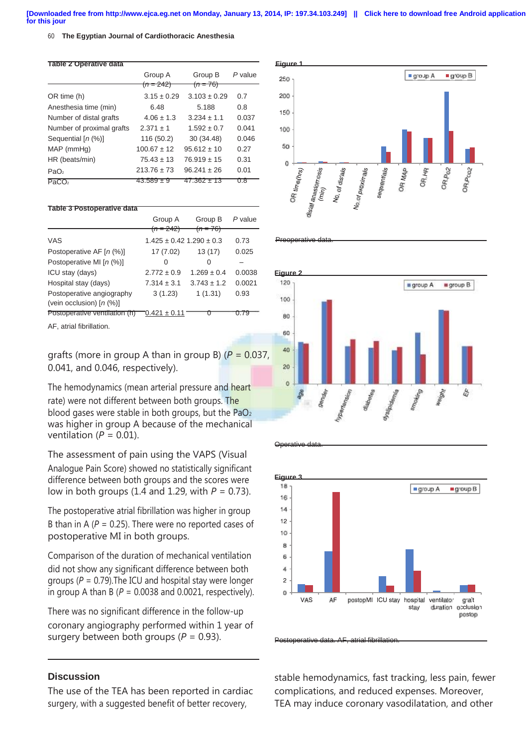**[Downloaded free from http://www.ejca.eg.net on Monday, January 13, 2014, IP: 197.34.103.249] || Click here to download free Android application for this jour**

#### 60 **The Egyptian Journal of Cardiothoracic Anesthesia**

| <b>Table 2 Operative data</b> |                      |                     |         |
|-------------------------------|----------------------|---------------------|---------|
|                               | Group A              | Group B             | P value |
|                               | <del>(n = 242)</del> | <del>(n = 76)</del> |         |
| OR time (h)                   | $3.15 \pm 0.29$      | $3.103 \pm 0.29$    | 0.7     |
| Anesthesia time (min)         | 6.48                 | 5.188               | 0.8     |
| Number of distal grafts       | $4.06 \pm 1.3$       | $3.234 \pm 1.1$     | 0.037   |
| Number of proximal grafts     | $2.371 + 1$          | $1.592 \pm 0.7$     | 0.041   |
| Sequential [n (%)]            | 116 (50.2)           | 30 (34.48)          | 0.046   |
| $MAP$ (mm $Hg$ )              | $100.67 \pm 12$      | $95.612 \pm 10$     | 0.27    |
| HR (beats/min)                | $75.43 \pm 13$       | $76.919 \pm 15$     | 0.31    |
| PaO <sub>2</sub>              | $213.76 \pm 73$      | $96.241 \pm 26$     | 0.01    |
| PACO <sub>2</sub>             | 43.589 ± 9           | $47.362 \pm 13$     | 0.8     |

#### **Table 3 Postoperative data**

|                                                         | Group A<br><del>(n = 242)</del>  | Group B             | P value |
|---------------------------------------------------------|----------------------------------|---------------------|---------|
|                                                         |                                  | <del>(n = 76)</del> |         |
| VAS                                                     | $1.425 \pm 0.42$ 1.290 $\pm$ 0.3 |                     | 0.73    |
| Postoperative AF [n (%)]                                | 17 (7.02)                        | 13(17)              | 0.025   |
| Postoperative MI [n (%)]                                | Ω                                | 0                   |         |
| ICU stay (days)                                         | $2.772 \pm 0.9$                  | $1.269 \pm 0.4$     | 0.0038  |
| Hospital stay (days)                                    | $7.314 \pm 3.1$                  | $3.743 \pm 1.2$     | 0.0021  |
| Postoperative angiography<br>(vein occlusion) $[n (%)]$ | 3(1.23)                          | 1(1.31)             | 0.93    |
| Postoperative ventilation (h)                           | $0.421 \pm 0.11$                 |                     |         |

AF, atrial fibrillation.

grafts (more in group A than in group B) (*P* = 0.037, 0.041, and 0.046, respectively).

The hemodynamics (mean arterial pressure and heart rate) were not different between both groups. The blood gases were stable in both groups, but the  $PaO<sub>2</sub>$ was higher in group A because of the mechanical ventilation ( $P = 0.01$ ).

The assessment of pain using the VAPS (Visual Analogue Pain Score) showed no statistically significant difference between both groups and the scores were low in both groups (1.4 and 1.29, with *P* = 0.73).

The postoperative atrial fibrillation was higher in group B than in A ( $P = 0.25$ ). There were no reported cases of postoperative MI in both groups.

Comparison of the duration of mechanical ventilation did not show any significant difference between both groups (*P* = 0.79).The ICU and hospital stay were longer in group A than B ( $P = 0.0038$  and 0.0021, respectively).

There was no significant difference in the follow-up coronary angiography performed within 1 year of surgery between both groups (*P* = 0.93).

# **Discussion**

The use of the TEA has been reported in cardiac surgery, with a suggested benefit of better recovery,







Operative date



Postoperative data. AF, atrial fibrillation

stable hemodynamics, fast tracking, less pain, fewer complications, and reduced expenses. Moreover, TEA may induce coronary vasodilatation, and other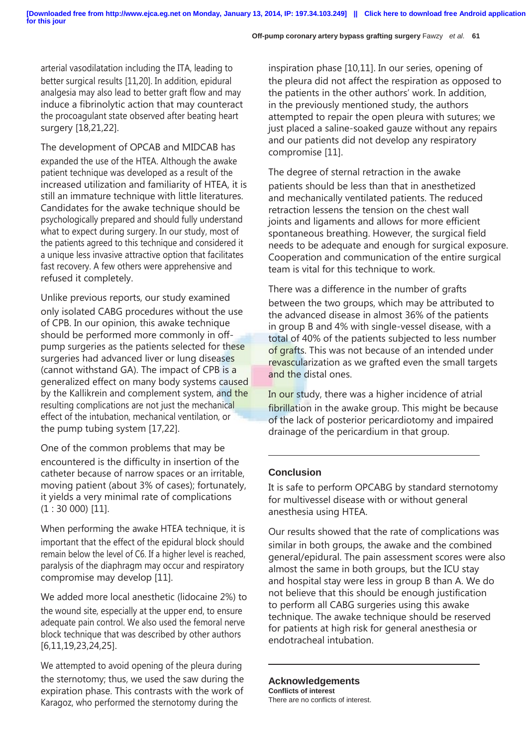arterial vasodilatation including the ITA, leading to better surgical results [11,20]. In addition, epidural analgesia may also lead to better graft flow and may induce a fibrinolytic action that may counteract the procoagulant state observed after beating heart surgery [18,21,22].

The development of OPCAB and MIDCAB has expanded the use of the HTEA. Although the awake patient technique was developed as a result of the increased utilization and familiarity of HTEA, it is still an immature technique with little literatures. Candidates for the awake technique should be psychologically prepared and should fully understand what to expect during surgery. In our study, most of the patients agreed to this technique and considered it a unique less invasive attractive option that facilitates fast recovery. A few others were apprehensive and refused it completely.

Unlike previous reports, our study examined only isolated CABG procedures without the use of CPB. In our opinion, this awake technique should be performed more commonly in offpump surgeries as the patients selected for these surgeries had advanced liver or lung diseases (cannot withstand GA). The impact of CPB is a generalized effect on many body systems caused by the Kallikrein and complement system, and the resulting complications are not just the mechanical effect of the intubation, mechanical ventilation, or the pump tubing system [17,22].

One of the common problems that may be encountered is the difficulty in insertion of the catheter because of narrow spaces or an irritable, moving patient (about 3% of cases); fortunately, it yields a very minimal rate of complications  $(1:30 000)$  [11].

When performing the awake HTEA technique, it is important that the effect of the epidural block should remain below the level of C6. If a higher level is reached, paralysis of the diaphragm may occur and respiratory compromise may develop [11].

We added more local anesthetic (lidocaine 2%) to the wound site, especially at the upper end, to ensure adequate pain control. We also used the femoral nerve block technique that was described by other authors [6,11,19,23,24,25].

We attempted to avoid opening of the pleura during the sternotomy; thus, we used the saw during the expiration phase. This contrasts with the work of Karagoz, who performed the sternotomy during the

inspiration phase [10,11]. In our series, opening of the pleura did not affect the respiration as opposed to the patients in the other authors' work. In addition, in the previously mentioned study, the authors attempted to repair the open pleura with sutures; we just placed a saline-soaked gauze without any repairs and our patients did not develop any respiratory compromise [11].

The degree of sternal retraction in the awake patients should be less than that in anesthetized and mechanically ventilated patients. The reduced retraction lessens the tension on the chest wall joints and ligaments and allows for more efficient spontaneous breathing. However, the surgical field needs to be adequate and enough for surgical exposure. Cooperation and communication of the entire surgical team is vital for this technique to work.

There was a difference in the number of grafts between the two groups, which may be attributed to the advanced disease in almost 36% of the patients in group B and 4% with single-vessel disease, with a total of 40% of the patients subjected to less number of grafts. This was not because of an intended under revascularization as we grafted even the small targets and the distal ones.

In our study, there was a higher incidence of atrial fibrillation in the awake group. This might be because of the lack of posterior pericardiotomy and impaired drainage of the pericardium in that group.

# **Conclusion**

It is safe to perform OPCABG by standard sternotomy for multivessel disease with or without general anesthesia using HTEA.

Our results showed that the rate of complications was similar in both groups, the awake and the combined general/epidural. The pain assessment scores were also almost the same in both groups, but the ICU stay and hospital stay were less in group B than A. We do not believe that this should be enough justification to perform all CABG surgeries using this awake technique. The awake technique should be reserved for patients at high risk for general anesthesia or endotracheal intubation.

**Acknowledgements**

**Conflicts of interest** There are no conflicts of interest.